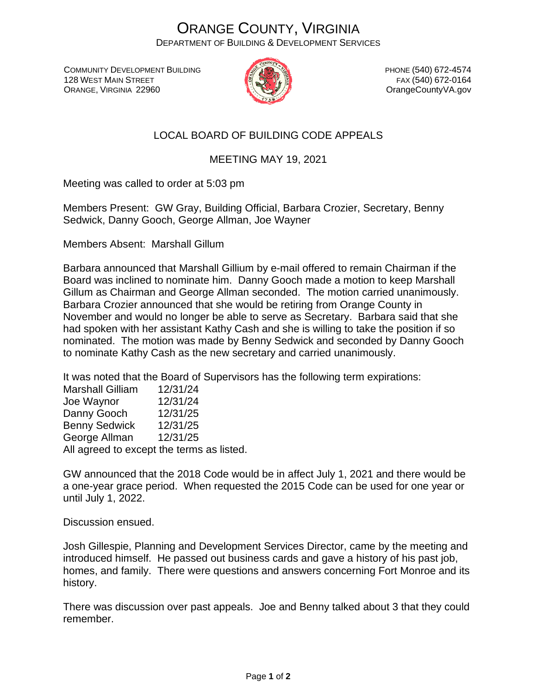## ORANGE COUNTY, VIRGINIA DEPARTMENT OF BUILDING & DEVELOPMENT SERVICES

COMMUNITY DEVELOPMENT BUILDING 128 WEST MAIN STREET ORANGE, VIRGINIA 22960



PHONE (540) 672-4574 FAX (540) 672-0164 OrangeCountyVA.gov

## LOCAL BOARD OF BUILDING CODE APPEALS

## MEETING MAY 19, 2021

Meeting was called to order at 5:03 pm

Members Present: GW Gray, Building Official, Barbara Crozier, Secretary, Benny Sedwick, Danny Gooch, George Allman, Joe Wayner

Members Absent: Marshall Gillum

Barbara announced that Marshall Gillium by e-mail offered to remain Chairman if the Board was inclined to nominate him. Danny Gooch made a motion to keep Marshall Gillum as Chairman and George Allman seconded. The motion carried unanimously. Barbara Crozier announced that she would be retiring from Orange County in November and would no longer be able to serve as Secretary. Barbara said that she had spoken with her assistant Kathy Cash and she is willing to take the position if so nominated. The motion was made by Benny Sedwick and seconded by Danny Gooch to nominate Kathy Cash as the new secretary and carried unanimously.

It was noted that the Board of Supervisors has the following term expirations:

| <b>Marshall Gilliam</b>                   | 12/31/24 |
|-------------------------------------------|----------|
| Joe Waynor                                | 12/31/24 |
| Danny Gooch                               | 12/31/25 |
| <b>Benny Sedwick</b>                      | 12/31/25 |
| George Allman                             | 12/31/25 |
| All agreed to except the terms as listed. |          |

GW announced that the 2018 Code would be in affect July 1, 2021 and there would be a one-year grace period. When requested the 2015 Code can be used for one year or until July 1, 2022.

Discussion ensued.

Josh Gillespie, Planning and Development Services Director, came by the meeting and introduced himself. He passed out business cards and gave a history of his past job, homes, and family. There were questions and answers concerning Fort Monroe and its history.

There was discussion over past appeals. Joe and Benny talked about 3 that they could remember.